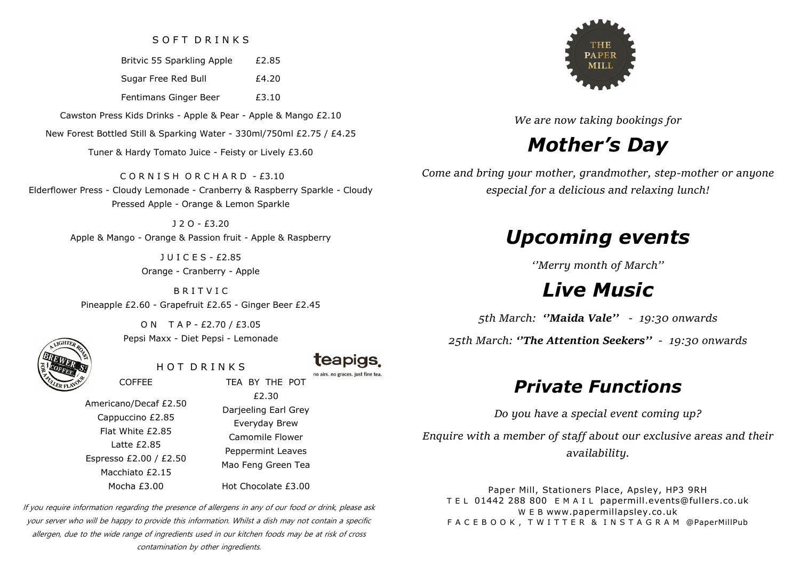### SOFT DRINKS

Britvic 55 Sparkling Apple £2.85

Sugar Free Red Bull E4.20

Fentimans Ginger Beer E3.10

Cawston Press Kids Drinks - Apple & Pear - Apple & Mango £2.10

New Forest Bottled Still & Sparking Water - 330ml/750ml £2.75 / £4.25

Tuner & Hardy Tomato Juice - Feisty or Lively £3.60

C O R N I S H O R C H A R D - £3.10 Elderflower Press - Cloudy Lemonade - Cranberry & Raspberry Sparkle - Cloudy Pressed Apple - Orange & Lemon Sparkle

> J 2 O - £3.20 Apple & Mango - Orange & Passion fruit - Apple & Raspberry

> > J U I C E S - £2.85 Orange - Cranberry - Apple

B R I T V I C Pineapple £2.60 - Grapefruit £2.65 - Ginger Beer £2.45



O N T A P - £2.70 / £3.05 Pepsi Maxx - Diet Pepsi - Lemonade

HOT DRINKS

**teapigs** no airs, no graces, just fine tea.

Americano/Decaf £2.50 Cappuccino £2.85 Flat White £2.85 Latte £2.85 Espresso £2.00 / £2.50 Macchiato £2.15 Mocha £3.00

COFFEE

£2.30 Darjeeling Earl Grey Everyday Brew Camomile Flower Peppermint Leaves Mao Feng Green Tea

TEA BY THE POT

Hot Chocolate £3.00

If you require information regarding the presence of allergens in any of our food or drink, please ask your server who will be happy to provide this information. Whilst a dish may not contain a specific allergen, due to the wide range of ingredients used in our kitchen foods may be at risk of cross contamination by other ingredients.



*We are now taking bookings for*

# *Mother's Day*

*Come and bring your mother, grandmother, step-mother or anyone especial for a delicious and relaxing lunch!*

# *Upcoming events*

*''Merry month of March''*

# *Live Music*

*5th March: ''Maida Vale'' - 19:30 onwards*

*25th March: ''The Attention Seekers'' - 19:30 onwards*

# *Private Functions*

*Do you have a special event coming up?* 

*Enquire with a member of staff about our exclusive areas and their availability.*

Paper Mill, Stationers Place, Apsley, HP3 9RH T E L 01442 288 800 E M A I L papermill.events@fullers.co.uk W E B www.papermillapsley.co.uk F A C E B O O K , T W I T T E R & I N S T A G R A M @PaperMillPub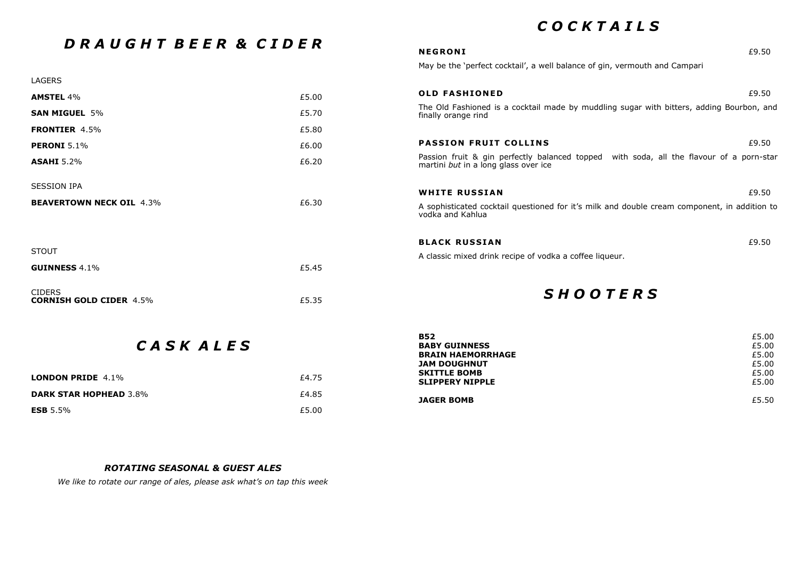### *C O C K T A I L S*

**B52**  $\epsilon$ 5.00

| DRAUGHT BEER & CIDER                            |       | <b>NEGRONI</b>                                                                                                                  | £9.50 |
|-------------------------------------------------|-------|---------------------------------------------------------------------------------------------------------------------------------|-------|
|                                                 |       | May be the 'perfect cocktail', a well balance of gin, vermouth and Campari                                                      |       |
| LAGERS                                          |       |                                                                                                                                 |       |
| <b>AMSTEL 4%</b>                                | £5.00 | <b>OLD FASHIONED</b>                                                                                                            | £9.50 |
| <b>SAN MIGUEL 5%</b>                            | £5.70 | The Old Fashioned is a cocktail made by muddling sugar with bitters, adding Bourbon, and<br>finally orange rind                 |       |
| <b>FRONTIER 4.5%</b>                            | £5.80 |                                                                                                                                 |       |
| <b>PERONI</b> 5.1%                              | £6.00 | <b>PASSION FRUIT COLLINS</b>                                                                                                    | £9.50 |
| <b>ASAHI</b> 5.2%                               | £6.20 | Passion fruit & gin perfectly balanced topped with soda, all the flavour of a porn-star<br>martini but in a long glass over ice |       |
| <b>SESSION IPA</b>                              |       | <b>WHITE RUSSIAN</b>                                                                                                            | £9.50 |
| <b>BEAVERTOWN NECK OIL 4.3%</b>                 | £6.30 | A sophisticated cocktail questioned for it's milk and double cream component, in addition to<br>vodka and Kahlua                |       |
|                                                 |       | <b>BLACK RUSSIAN</b>                                                                                                            | £9.50 |
| <b>STOUT</b>                                    |       | A classic mixed drink recipe of vodka a coffee liqueur.                                                                         |       |
| <b>GUINNESS 4.1%</b>                            | £5.45 |                                                                                                                                 |       |
| <b>CIDERS</b><br><b>CORNISH GOLD CIDER 4.5%</b> | £5.35 | <b>SHOOTERS</b>                                                                                                                 |       |
|                                                 |       |                                                                                                                                 |       |

## *C A S K A L E S*

| CASK ALES                     |       | <b>BABY GUINNESS</b><br><b>BRAIN HAEMORRHAGE</b><br><b>JAM DOUGHNUT</b> | £5.00<br>£5.00<br>£5.00 |
|-------------------------------|-------|-------------------------------------------------------------------------|-------------------------|
| <b>LONDON PRIDE</b> 4.1%      | £4.75 | <b>SKITTLE BOMB</b><br><b>SLIPPERY NIPPLE</b>                           | £5.00<br>£5.00          |
| <b>DARK STAR HOPHEAD 3.8%</b> | £4.85 | <b>JAGER BOMB</b>                                                       | £5.50                   |
| <b>ESB</b> 5.5%               | £5.00 |                                                                         |                         |

### *ROTATING SEASONAL & GUEST ALES*

*We like to rotate our range of ales, please ask what's on tap this week*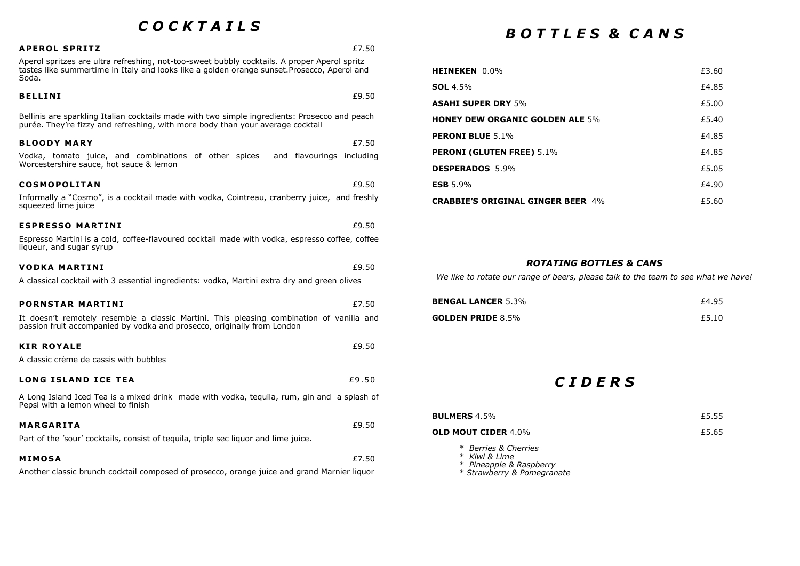### *C O C K T A I L S*  **A PE RO L S PR I T Z** £7.50 Aperol spritzes are ultra refreshing, not-too-sweet bubbly cocktails. A proper Aperol spritz tastes like summertime in Italy and looks like a golden orange sunset.Prosecco, Aperol and Soda. **BELLINI**  $\epsilon$ 9.50 Bellinis are sparkling Italian cocktails made with two simple ingredients: Prosecco and peach purée. They're fizzy and refreshing, with more body than your average cocktail **BLOODY MARY** E7.50 Vodka, tomato juice, and combinations of other spices and flavourings including Worcestershire sauce, hot sauce & lemon **COSMOPOLITAN**  $£9.50$ Informally a "Cosmo", is a cocktail made with vodka, Cointreau, cranberry juice, and freshly squeezed lime juice **ESPRESSO MARTINI**  $£9.50$ Espresso Martini is a cold, coffee-flavoured cocktail made with vodka, espresso coffee, coffee liqueur, and sugar syrup **VODKA MARTINI**  $f9.50$ A classical cocktail with 3 essential ingredients: vodka, Martini extra dry and green olives **PORNSTAR MARTINI**  $£7.50$

It doesn't remotely resemble a classic Martini. This pleasing combination of vanilla and passion fruit accompanied by vodka and prosecco, originally from London

| <b>KIR ROYALE</b>                      | £9.50 |
|----------------------------------------|-------|
| A classic crème de cassis with bubbles |       |

### **LONG ISLAND ICE TEA**  $\qquad \qquad \text{£9.50}$

A Long Island Iced Tea is a mixed drink made with vodka, tequila, rum, gin and a splash of Pepsi with a lemon wheel to finish

| MARGARITA                                                                           | £9.50 |
|-------------------------------------------------------------------------------------|-------|
| Part of the 'sour' cocktails, consist of tequila, triple sec liquor and lime juice. |       |

| <b>MIMOSA</b> | £7.50 |
|---------------|-------|
|               |       |

Another classic brunch cocktail composed of prosecco, orange juice and grand Marnier liquor

## *B O T T L E S & C A N S*

| <b>HEINEKEN</b> 0.0%                     | £3.60 |
|------------------------------------------|-------|
| <b>SOL</b> 4.5%                          | £4.85 |
| <b>ASAHI SUPER DRY 5%</b>                | £5.00 |
| <b>HONEY DEW ORGANIC GOLDEN ALE 5%</b>   | £5.40 |
| <b>PERONI BLUE 5.1%</b>                  | £4.85 |
| <b>PERONI (GLUTEN FREE)</b> 5.1%         | £4.85 |
| DESPERADOS 5.9%                          | £5.05 |
| ESB $5.9%$                               | £4.90 |
| <b>CRABBIE'S ORIGINAL GINGER BEER 4%</b> | £5.60 |

### *ROTATING BOTTLES & CANS*

*We like to rotate our range of beers, please talk to the team to see what we have!*

| <b>BENGAL LANCER 5.3%</b> | £4.95 |
|---------------------------|-------|
| GOLDEN PRIDE $8.5\%$      | £5.10 |

### *C I D E R S*

| <b>BULMERS 4.5%</b>                                                                            | £5.55 |
|------------------------------------------------------------------------------------------------|-------|
| OLD MOUT CIDER $4.0\%$                                                                         | £5.65 |
| * Berries & Cherries<br>* Kiwi & Lime<br>* Pineapple & Raspberry<br>* Strawberry & Pomegranate |       |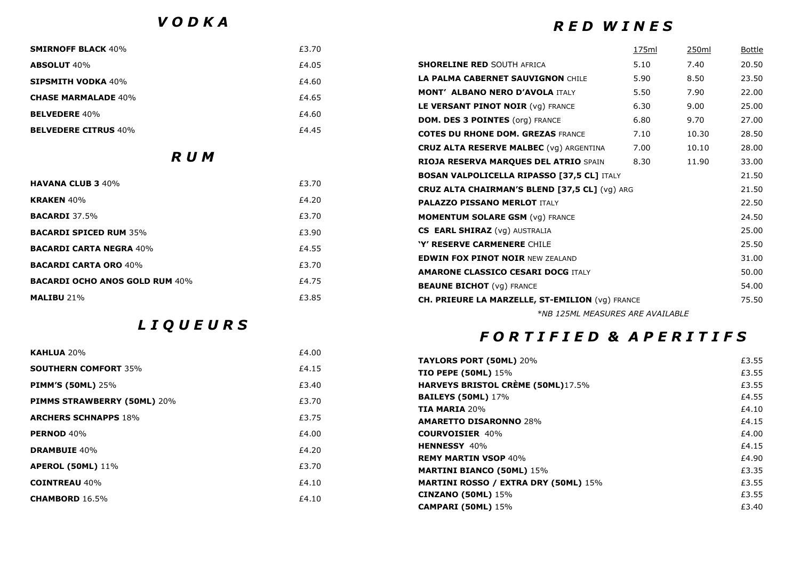*V O D K A*

### *R E D W I N E S*

| <b>SMIRNOFF BLACK 40%</b>             | £3.70                                     |                                                   | 175ml | 250 <sub>ml</sub> | <u>Bottle</u> |
|---------------------------------------|-------------------------------------------|---------------------------------------------------|-------|-------------------|---------------|
| <b>ABSOLUT 40%</b>                    | £4.05                                     | <b>SHORELINE RED SOUTH AFRICA</b>                 | 5.10  | 7.40              | 20.50         |
| <b>SIPSMITH VODKA 40%</b>             | £4.60                                     | <b>LA PALMA CABERNET SAUVIGNON CHILE</b>          | 5.90  | 8.50              | 23.50         |
| <b>CHASE MARMALADE 40%</b>            | £4.65                                     | <b>MONT' ALBANO NERO D'AVOLA ITALY</b>            | 5.50  | 7.90              | 22.00         |
| <b>BELVEDERE 40%</b>                  | £4.60                                     | LE VERSANT PINOT NOIR (VG) FRANCE                 | 6.30  | 9.00              | 25.00         |
|                                       |                                           | <b>DOM. DES 3 POINTES (org) FRANCE</b>            | 6.80  | 9.70              | 27.00         |
| <b>BELVEDERE CITRUS 40%</b>           | £4.45                                     | <b>COTES DU RHONE DOM. GREZAS FRANCE</b>          | 7.10  | 10.30             | 28.50         |
| R U M                                 |                                           | <b>CRUZ ALTA RESERVE MALBEC (VG) ARGENTINA</b>    | 7.00  | 10.10             | 28.00         |
|                                       |                                           | RIOJA RESERVA MARQUES DEL ATRIO SPAIN             | 8.30  | 11.90             | 33.00         |
|                                       |                                           | <b>BOSAN VALPOLICELLA RIPASSO [37,5 CL] ITALY</b> |       |                   | 21.50         |
| <b>HAVANA CLUB 3 40%</b>              | £3.70                                     | CRUZ ALTA CHAIRMAN'S BLEND [37,5 CL] (vg) ARG     |       |                   | 21.50         |
| <b>KRAKEN 40%</b>                     | £4.20                                     | <b>PALAZZO PISSANO MERLOT ITALY</b>               |       |                   | 22.50         |
| <b>BACARDI 37.5%</b>                  | £3.70                                     | <b>MOMENTUM SOLARE GSM (Vg) FRANCE</b>            |       |                   | 24.50         |
| <b>BACARDI SPICED RUM 35%</b>         | £3.90                                     | <b>CS EARL SHIRAZ</b> (vg) AUSTRALIA              |       |                   | 25.00         |
| <b>BACARDI CARTA NEGRA 40%</b>        | £4.55                                     | 'Y' RESERVE CARMENERE CHILE                       |       |                   | 25.50         |
| <b>BACARDI CARTA ORO 40%</b>          | £3.70                                     | <b>EDWIN FOX PINOT NOIR NEW ZEALAND</b>           |       |                   | 31.00         |
|                                       | <b>AMARONE CLASSICO CESARI DOCG ITALY</b> |                                                   |       |                   | 50.00         |
| <b>BACARDI OCHO ANOS GOLD RUM 40%</b> | £4.75                                     | <b>BEAUNE BICHOT</b> (vg) FRANCE                  |       |                   | 54.00         |
| <b>MALIBU 21%</b>                     | £3.85                                     | CH. PRIEURE LA MARZELLE, ST-EMILION (vg) FRANCE   |       |                   | 75.50         |
|                                       |                                           | *NB 125ML MEASURES ARE AVAILABLE                  |       |                   |               |

*L I Q U E U R S* 

### *F O R T I F I E D & A P E R I T I F S*

| £4.00 |                                                    |       |
|-------|----------------------------------------------------|-------|
|       | <b>TAYLORS PORT (50ML) 20%</b>                     | £3.55 |
|       | <b>TIO PEPE (50ML)</b> 15%                         | £3.55 |
| £3.40 | HARVEYS BRISTOL CRÈME (50ML)17.5%                  | £3.55 |
|       | <b>BAILEYS (50ML)</b> 17%                          | £4.55 |
|       | <b>TIA MARIA 20%</b>                               | £4.10 |
|       | <b>AMARETTO DISARONNO 28%</b>                      | £4.15 |
| £4.00 | <b>COURVOISIER 40%</b>                             | £4.00 |
|       | <b>HENNESSY 40%</b>                                | £4.15 |
|       | <b>REMY MARTIN VSOP 40%</b>                        | £4.90 |
|       | <b>MARTINI BIANCO (50ML) 15%</b>                   | £3.35 |
| £4.10 | <b>MARTINI ROSSO / EXTRA DRY (50ML) 15%</b>        | £3.55 |
|       | <b>CINZANO (50ML)</b> 15%                          | £3.55 |
|       | <b>CAMPARI (50ML)</b> 15%                          | £3.40 |
|       | £4.15<br>£3.70<br>£3.75<br>£4.20<br>£3.70<br>£4.10 |       |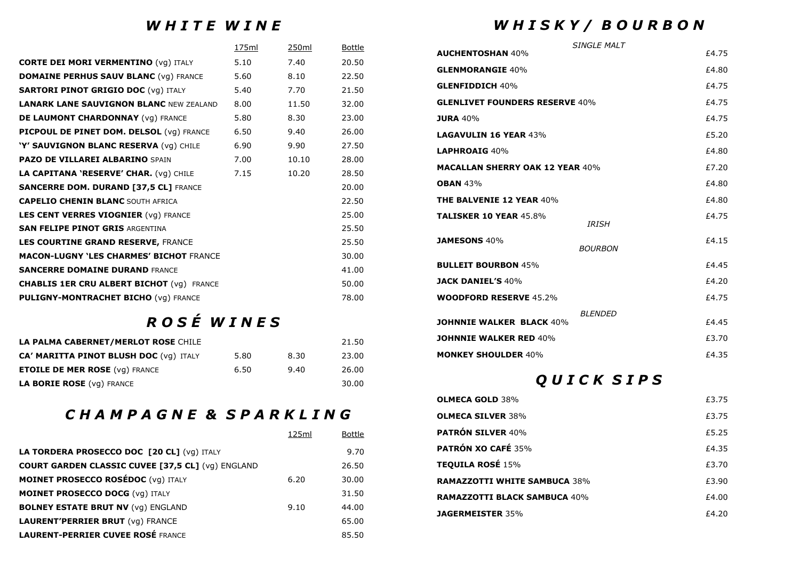### *W H I T E W I N E*

|                                                  | 175ml | 250ml | <b>Bottle</b> |
|--------------------------------------------------|-------|-------|---------------|
| <b>CORTE DEI MORI VERMENTINO (VG) ITALY</b>      | 5.10  | 7.40  | 20.50         |
| <b>DOMAINE PERHUS SAUV BLANC (Vg) FRANCE</b>     | 5.60  | 8.10  | 22.50         |
| <b>SARTORI PINOT GRIGIO DOC (VG) ITALY</b>       | 5.40  | 7.70  | 21.50         |
| <b>LANARK LANE SAUVIGNON BLANC NEW ZEALAND</b>   | 8.00  | 11.50 | 32.00         |
| DE LAUMONT CHARDONNAY (VG) FRANCE                | 5.80  | 8.30  | 23.00         |
| PICPOUL DE PINET DOM. DELSOL (Vg) FRANCE         | 6.50  | 9.40  | 26.00         |
| 'Y' SAUVIGNON BLANC RESERVA (vg) CHILE           | 6.90  | 9.90  | 27.50         |
| <b>PAZO DE VILLAREI ALBARINO SPAIN</b>           | 7.00  | 10.10 | 28.00         |
| LA CAPITANA 'RESERVE' CHAR. (Vg) CHILE           | 7.15  | 10.20 | 28.50         |
| <b>SANCERRE DOM. DURAND [37,5 CL] FRANCE</b>     |       |       | 20.00         |
| <b>CAPELIO CHENIN BLANC SOUTH AFRICA</b>         |       |       | 22.50         |
| <b>LES CENT VERRES VIOGNIER (VG) FRANCE</b>      |       |       | 25.00         |
| <b>SAN FELIPE PINOT GRIS ARGENTINA</b>           |       |       | 25.50         |
| LES COURTINE GRAND RESERVE, FRANCE               |       |       | 25.50         |
| <b>MACON-LUGNY 'LES CHARMES' BICHOT FRANCE</b>   |       |       | 30.00         |
| <b>SANCERRE DOMAINE DURAND FRANCE</b>            |       |       | 41.00         |
| <b>CHABLIS 1ER CRU ALBERT BICHOT (VG) FRANCE</b> |       |       | 50.00         |
| <b>PULIGNY-MONTRACHET BICHO (Vg) FRANCE</b>      |       |       | 78.00         |

# *R O S É W I N E S*

| LA PALMA CABERNET/MERLOT ROSE CHILE           |      |      | 21.50 |
|-----------------------------------------------|------|------|-------|
| <b>CA' MARITTA PINOT BLUSH DOC (VG) ITALY</b> | 5.80 | 8.30 | 23.00 |
| <b>ETOILE DE MER ROSE (VG) FRANCE</b>         | 6.50 | 9.40 | 26.00 |
| LA BORIE ROSE (VG) FRANCE                     |      |      | 30.00 |

## *C H A M P A G N E & S P A R K L I N G*

|                                                          | 125ml | Bottle |
|----------------------------------------------------------|-------|--------|
| LA TORDERA PROSECCO DOC [20 CL] (vg) ITALY               |       | 9.70   |
| <b>COURT GARDEN CLASSIC CUVEE [37,5 CL] (vg) ENGLAND</b> |       | 26.50  |
| <b>MOINET PROSECCO ROSÉDOC (Vg) ITALY</b>                | 6.20  | 30.00  |
| <b>MOINET PROSECCO DOCG (VG) ITALY</b>                   |       | 31.50  |
| <b>BOLNEY ESTATE BRUT NV (vq) ENGLAND</b>                | 9.10  | 44.00  |
| <b>LAURENT'PERRIER BRUT</b> (vg) FRANCE                  |       | 65.00  |
| <b>LAURENT-PERRIER CUVEE ROSÉ FRANCE</b>                 |       | 85.50  |

## *W H I S K Y / B O U R B O N*

|                                        | SINGI F MAI T   |       |
|----------------------------------------|-----------------|-------|
| <b>AUCHENTOSHAN 40%</b>                |                 | £4.75 |
| <b>GLENMORANGIE 40%</b>                |                 | £4.80 |
| <b>GLENFIDDICH 40%</b>                 |                 | £4.75 |
| <b>GLENLIVET FOUNDERS RESERVE 40%</b>  |                 | £4.75 |
| <b>JURA 40%</b>                        |                 | £4.75 |
| <b>LAGAVULIN 16 YEAR 43%</b>           |                 | £5.20 |
| LAPHROAIG 40%                          |                 | £4.80 |
| <b>MACALLAN SHERRY OAK 12 YEAR 40%</b> |                 | £7.20 |
| <b>OBAN 43%</b>                        |                 | £4.80 |
| <b>THE BALVENIE 12 YEAR 40%</b>        |                 | £4.80 |
| <b>TALISKER 10 YEAR 45.8%</b>          | <b>IRISH</b>    | £4.75 |
| <b>JAMESONS 40%</b>                    | <b>BOURBON</b>  | £4.15 |
| <b>BULLEIT BOURBON 45%</b>             |                 | £4.45 |
| <b>JACK DANIEL'S 40%</b>               |                 | £4.20 |
| <b>WOODFORD RESERVE 45.2%</b>          |                 | £4.75 |
| <b>JOHNNIE WALKER BLACK 40%</b>        | <b>BI FNDFD</b> | £4.45 |
| <b>JOHNNIE WALKER RED 40%</b>          |                 | £3.70 |
| <b>MONKEY SHOULDER 40%</b>             |                 | £4.35 |

## *Q U I C K S I P S*

| <b>OLMECA GOLD 38%</b>              | £3.75 |
|-------------------------------------|-------|
| <b>OLMECA SILVER 38%</b>            | £3.75 |
| <b>PATRÓN SILVER 40%</b>            | £5.25 |
| <b>PATRÓN XO CAFÉ 35%</b>           | £4.35 |
| <b>TEQUILA ROSÉ 15%</b>             | £3.70 |
| <b>RAMAZZOTTI WHITE SAMBUCA 38%</b> | £3.90 |
| <b>RAMAZZOTTI BLACK SAMBUCA 40%</b> | £4.00 |
| <b>JAGERMEISTER 35%</b>             | £4.20 |